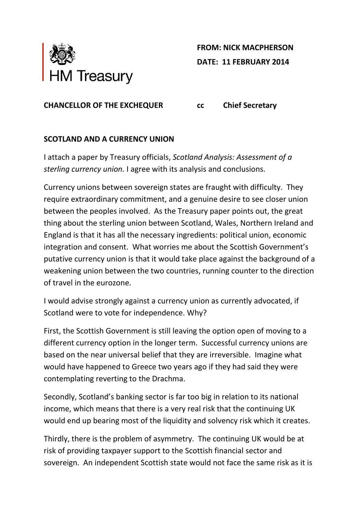

## **FROM: NICK MACPHERSON DATE: 11 FEBRUARY 2014**

## **CHANCELLOR OF THE EXCHEQUER cc Chief Secretary**

## **SCOTLAND AND A CURRENCY UNION**

I attach a paper by Treasury officials, *Scotland Analysis: Assessment of a sterling currency union.* I agree with its analysis and conclusions.

Currency unions between sovereign states are fraught with difficulty. They require extraordinary commitment, and a genuine desire to see closer union between the peoples involved. As the Treasury paper points out, the great thing about the sterling union between Scotland, Wales, Northern Ireland and England is that it has all the necessary ingredients: political union, economic integration and consent. What worries me about the Scottish Government's putative currency union is that it would take place against the background of a weakening union between the two countries, running counter to the direction of travel in the eurozone.

I would advise strongly against a currency union as currently advocated, if Scotland were to vote for independence. Why?

First, the Scottish Government is still leaving the option open of moving to a different currency option in the longer term. Successful currency unions are based on the near universal belief that they are irreversible. Imagine what would have happened to Greece two years ago if they had said they were contemplating reverting to the Drachma.

Secondly, Scotland's banking sector is far too big in relation to its national income, which means that there is a very real risk that the continuing UK would end up bearing most of the liquidity and solvency risk which it creates.

Thirdly, there is the problem of asymmetry. The continuing UK would be at risk of providing taxpayer support to the Scottish financial sector and sovereign. An independent Scottish state would not face the same risk as it is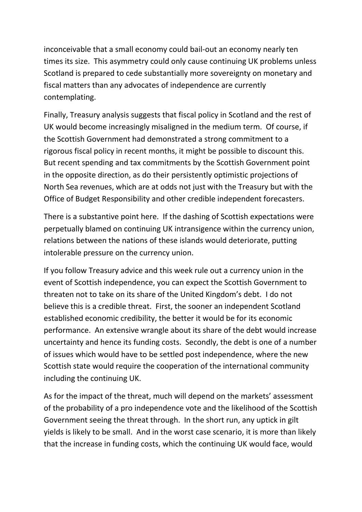inconceivable that a small economy could bail-out an economy nearly ten times its size. This asymmetry could only cause continuing UK problems unless Scotland is prepared to cede substantially more sovereignty on monetary and fiscal matters than any advocates of independence are currently contemplating.

Finally, Treasury analysis suggests that fiscal policy in Scotland and the rest of UK would become increasingly misaligned in the medium term. Of course, if the Scottish Government had demonstrated a strong commitment to a rigorous fiscal policy in recent months, it might be possible to discount this. But recent spending and tax commitments by the Scottish Government point in the opposite direction, as do their persistently optimistic projections of North Sea revenues, which are at odds not just with the Treasury but with the Office of Budget Responsibility and other credible independent forecasters.

There is a substantive point here. If the dashing of Scottish expectations were perpetually blamed on continuing UK intransigence within the currency union, relations between the nations of these islands would deteriorate, putting intolerable pressure on the currency union.

If you follow Treasury advice and this week rule out a currency union in the event of Scottish independence, you can expect the Scottish Government to threaten not to take on its share of the United Kingdom's debt. I do not believe this is a credible threat. First, the sooner an independent Scotland established economic credibility, the better it would be for its economic performance. An extensive wrangle about its share of the debt would increase uncertainty and hence its funding costs. Secondly, the debt is one of a number of issues which would have to be settled post independence, where the new Scottish state would require the cooperation of the international community including the continuing UK.

As for the impact of the threat, much will depend on the markets' assessment of the probability of a pro independence vote and the likelihood of the Scottish Government seeing the threat through. In the short run, any uptick in gilt yields is likely to be small. And in the worst case scenario, it is more than likely that the increase in funding costs, which the continuing UK would face, would